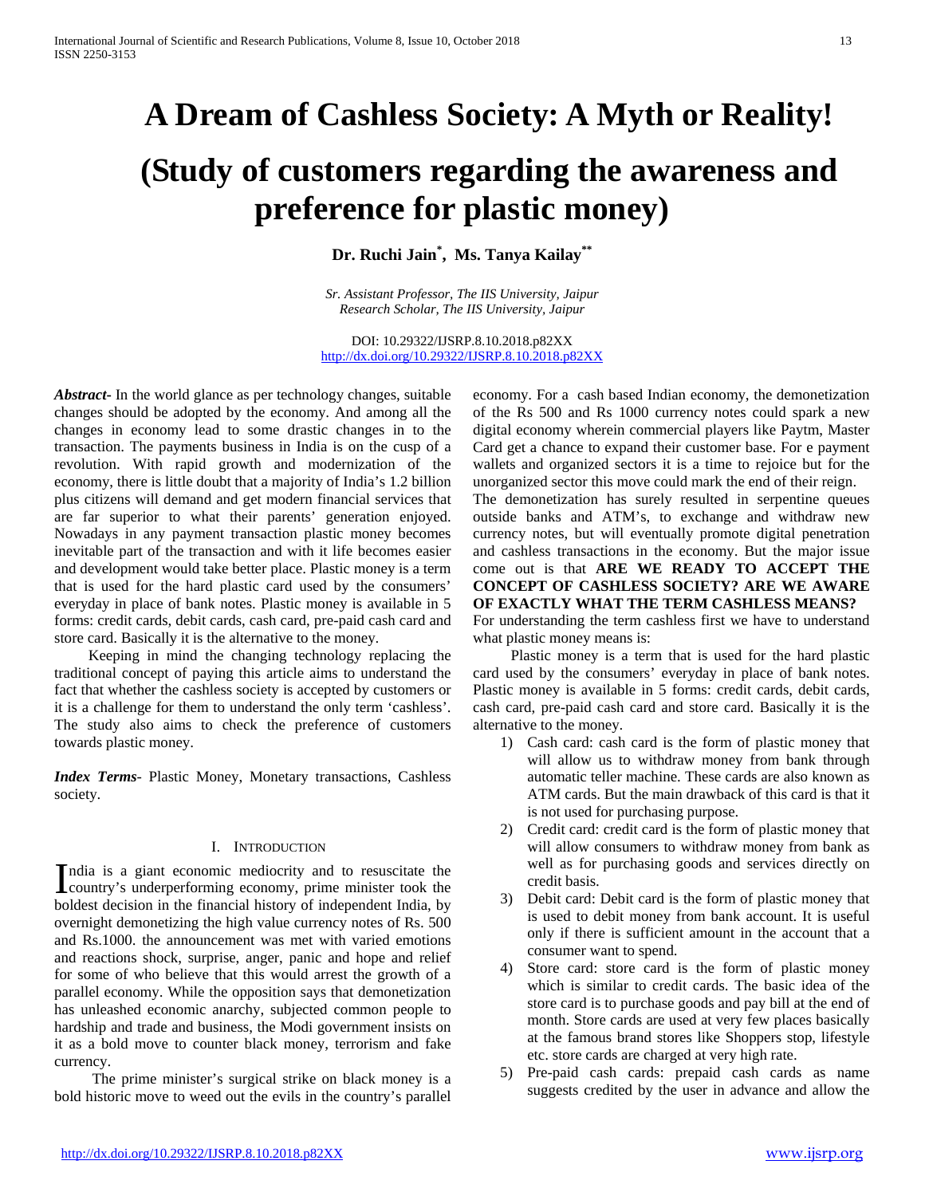# **A Dream of Cashless Society: A Myth or Reality!**

# **(Study of customers regarding the awareness and preference for plastic money)**

**Dr. Ruchi Jain\* , Ms. Tanya Kailay\*\***

*Sr. Assistant Professor, The IIS University, Jaipur Research Scholar, The IIS University, Jaipur*

DOI: 10.29322/IJSRP.8.10.2018.p82XX <http://dx.doi.org/10.29322/IJSRP.8.10.2018.p82XX>

*Abstract***-** In the world glance as per technology changes, suitable changes should be adopted by the economy. And among all the changes in economy lead to some drastic changes in to the transaction. The payments business in India is on the cusp of a revolution. With rapid growth and modernization of the economy, there is little doubt that a majority of India's 1.2 billion plus citizens will demand and get modern financial services that are far superior to what their parents' generation enjoyed. Nowadays in any payment transaction plastic money becomes inevitable part of the transaction and with it life becomes easier and development would take better place. Plastic money is a term that is used for the hard plastic card used by the consumers' everyday in place of bank notes. Plastic money is available in 5 forms: credit cards, debit cards, cash card, pre-paid cash card and store card. Basically it is the alternative to the money.

 Keeping in mind the changing technology replacing the traditional concept of paying this article aims to understand the fact that whether the cashless society is accepted by customers or it is a challenge for them to understand the only term 'cashless'. The study also aims to check the preference of customers towards plastic money.

*Index Terms*- Plastic Money, Monetary transactions, Cashless society.

## I. INTRODUCTION

ndia is a giant economic mediocrity and to resuscitate the India is a giant economic mediocrity and to resuscitate the country's underperforming economy, prime minister took the boldest decision in the financial history of independent India, by overnight demonetizing the high value currency notes of Rs. 500 and Rs.1000. the announcement was met with varied emotions and reactions shock, surprise, anger, panic and hope and relief for some of who believe that this would arrest the growth of a parallel economy. While the opposition says that demonetization has unleashed economic anarchy, subjected common people to hardship and trade and business, the Modi government insists on it as a bold move to counter black money, terrorism and fake currency.

 The prime minister's surgical strike on black money is a bold historic move to weed out the evils in the country's parallel economy. For a cash based Indian economy, the demonetization of the Rs 500 and Rs 1000 currency notes could spark a new digital economy wherein commercial players like Paytm, Master Card get a chance to expand their customer base. For e payment wallets and organized sectors it is a time to rejoice but for the unorganized sector this move could mark the end of their reign. The demonetization has surely resulted in serpentine queues

outside banks and ATM's, to exchange and withdraw new currency notes, but will eventually promote digital penetration and cashless transactions in the economy. But the major issue come out is that **ARE WE READY TO ACCEPT THE CONCEPT OF CASHLESS SOCIETY? ARE WE AWARE OF EXACTLY WHAT THE TERM CASHLESS MEANS?**

For understanding the term cashless first we have to understand what plastic money means is:

 Plastic money is a term that is used for the hard plastic card used by the consumers' everyday in place of bank notes. Plastic money is available in 5 forms: credit cards, debit cards, cash card, pre-paid cash card and store card. Basically it is the alternative to the money.

- 1) Cash card: cash card is the form of plastic money that will allow us to withdraw money from bank through automatic teller machine. These cards are also known as ATM cards. But the main drawback of this card is that it is not used for purchasing purpose.
- 2) Credit card: credit card is the form of plastic money that will allow consumers to withdraw money from bank as well as for purchasing goods and services directly on credit basis.
- 3) Debit card: Debit card is the form of plastic money that is used to debit money from bank account. It is useful only if there is sufficient amount in the account that a consumer want to spend.
- 4) Store card: store card is the form of plastic money which is similar to credit cards. The basic idea of the store card is to purchase goods and pay bill at the end of month. Store cards are used at very few places basically at the famous brand stores like Shoppers stop, lifestyle etc. store cards are charged at very high rate.
- 5) Pre-paid cash cards: prepaid cash cards as name suggests credited by the user in advance and allow the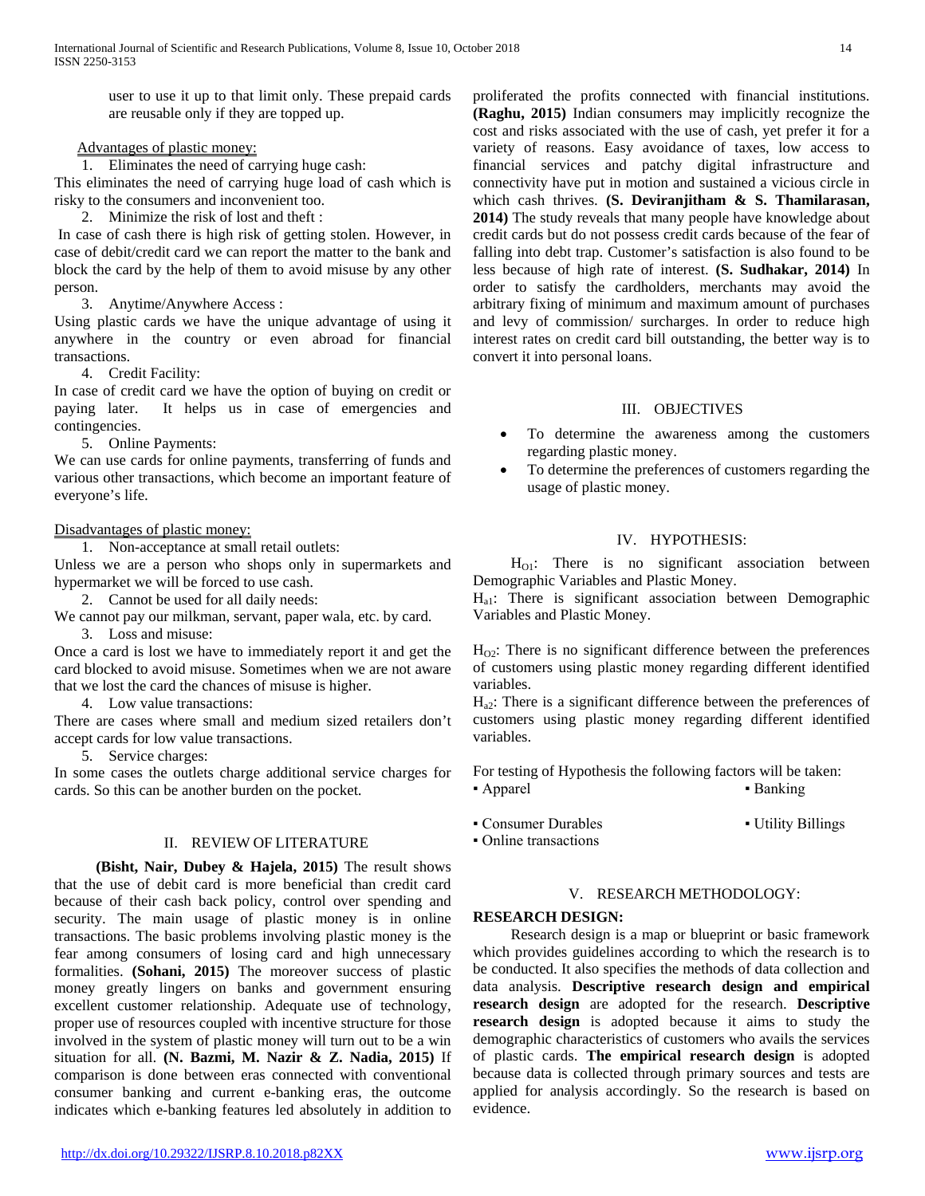user to use it up to that limit only. These prepaid cards are reusable only if they are topped up.

## Advantages of plastic money:

1. Eliminates the need of carrying huge cash:

This eliminates the need of carrying huge load of cash which is risky to the consumers and inconvenient too.

2. Minimize the risk of lost and theft :

In case of cash there is high risk of getting stolen. However, in case of debit/credit card we can report the matter to the bank and block the card by the help of them to avoid misuse by any other person.

3. Anytime/Anywhere Access :

Using plastic cards we have the unique advantage of using it anywhere in the country or even abroad for financial transactions.

4. Credit Facility:

In case of credit card we have the option of buying on credit or paying later. It helps us in case of emergencies and contingencies.

5. Online Payments:

We can use cards for online payments, transferring of funds and various other transactions, which become an important feature of everyone's life.

#### Disadvantages of plastic money:

1. Non-acceptance at small retail outlets:

Unless we are a person who shops only in supermarkets and hypermarket we will be forced to use cash.

2. Cannot be used for all daily needs:

We cannot pay our milkman, servant, paper wala, etc. by card.

3. Loss and misuse:

Once a card is lost we have to immediately report it and get the card blocked to avoid misuse. Sometimes when we are not aware that we lost the card the chances of misuse is higher.

4. Low value transactions:

There are cases where small and medium sized retailers don't accept cards for low value transactions.

5. Service charges:

In some cases the outlets charge additional service charges for cards. So this can be another burden on the pocket.

# II. REVIEW OF LITERATURE

 **(Bisht, Nair, Dubey & Hajela, 2015)** The result shows that the use of debit card is more beneficial than credit card because of their cash back policy, control over spending and security. The main usage of plastic money is in online transactions. The basic problems involving plastic money is the fear among consumers of losing card and high unnecessary formalities. **(Sohani, 2015)** The moreover success of plastic money greatly lingers on banks and government ensuring excellent customer relationship. Adequate use of technology, proper use of resources coupled with incentive structure for those involved in the system of plastic money will turn out to be a win situation for all. **(N. Bazmi, M. Nazir & Z. Nadia, 2015)** If comparison is done between eras connected with conventional consumer banking and current e-banking eras, the outcome indicates which e-banking features led absolutely in addition to

V. RESEARCH METHODOLOGY: **RESEARCH DESIGN:** Research design is a map or blueprint or basic framework

which provides guidelines according to which the research is to be conducted. It also specifies the methods of data collection and data analysis. **Descriptive research design and empirical research design** are adopted for the research. **Descriptive research design** is adopted because it aims to study the demographic characteristics of customers who avails the services of plastic cards. **The empirical research design** is adopted because data is collected through primary sources and tests are applied for analysis accordingly. So the research is based on evidence.

proliferated the profits connected with financial institutions. **(Raghu, 2015)** Indian consumers may implicitly recognize the cost and risks associated with the use of cash, yet prefer it for a variety of reasons. Easy avoidance of taxes, low access to financial services and patchy digital infrastructure and connectivity have put in motion and sustained a vicious circle in which cash thrives. **(S. Deviranjitham & S. Thamilarasan, 2014)** The study reveals that many people have knowledge about credit cards but do not possess credit cards because of the fear of falling into debt trap. Customer's satisfaction is also found to be less because of high rate of interest. **(S. Sudhakar, 2014)** In order to satisfy the cardholders, merchants may avoid the arbitrary fixing of minimum and maximum amount of purchases and levy of commission/ surcharges. In order to reduce high interest rates on credit card bill outstanding, the better way is to convert it into personal loans.

## III. OBJECTIVES

- To determine the awareness among the customers regarding plastic money.
- To determine the preferences of customers regarding the usage of plastic money.

## IV. HYPOTHESIS:

 $H<sub>O1</sub>$ : There is no significant association between Demographic Variables and Plastic Money.

Ha1: There is significant association between Demographic Variables and Plastic Money.

 $H_{02}$ : There is no significant difference between the preferences of customers using plastic money regarding different identified variables.

 $H_{a2}$ : There is a significant difference between the preferences of customers using plastic money regarding different identified variables.

For testing of Hypothesis the following factors will be taken: • Apparel **• Banking** 

• Consumer Durables • Utility Billings • Online transactions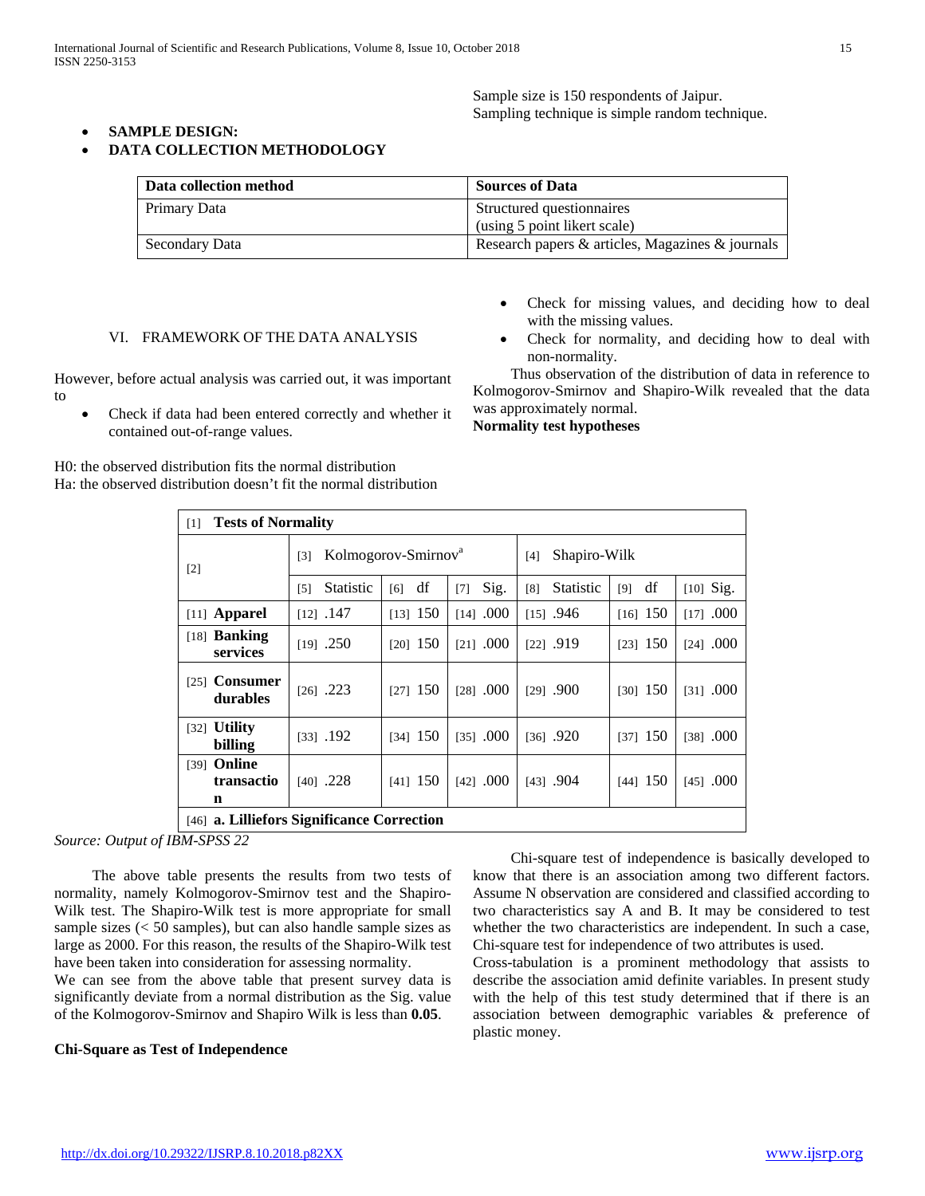Sample size is 150 respondents of Jaipur. Sampling technique is simple random technique.

## • **SAMPLE DESIGN:**

#### • **DATA COLLECTION METHODOLOGY**

| Data collection method | <b>Sources of Data</b>                           |
|------------------------|--------------------------------------------------|
| Primary Data           | Structured questionnaires                        |
|                        | (using 5 point likert scale)                     |
| Secondary Data         | Research papers & articles, Magazines & journals |

#### VI. FRAMEWORK OF THE DATA ANALYSIS

However, before actual analysis was carried out, it was important to

• Check if data had been entered correctly and whether it contained out-of-range values.

H0: the observed distribution fits the normal distribution Ha: the observed distribution doesn't fit the normal distribution

- Check for missing values, and deciding how to deal with the missing values.
- Check for normality, and deciding how to deal with non-normality.

 Thus observation of the distribution of data in reference to Kolmogorov-Smirnov and Shapiro-Wilk revealed that the data was approximately normal.

**Normality test hypotheses**

| [1]                                             | <b>Tests of Normality</b>              |            |               |                     |            |             |
|-------------------------------------------------|----------------------------------------|------------|---------------|---------------------|------------|-------------|
| $[2]$                                           | Kolmogorov-Smirnov <sup>a</sup><br>[3] |            |               | Shapiro-Wilk<br>[4] |            |             |
|                                                 | <b>Statistic</b><br>[5]                | df<br>[6]  | Sig.<br>$[7]$ | Statistic<br>[8]    | df<br>[9]  | $[10]$ Sig. |
| $[11]$ Apparel                                  | $[12]$ .147                            | $[13]$ 150 | $[14]$ .000   | $[15]$ .946         | $[16]$ 150 | $[17]$ .000 |
| $[18]$ Banking<br>services                      | $[19]$ .250                            | $[20]$ 150 | $[21]$ .000   | $[22]$ .919         | $[23]$ 150 | $[24]$ .000 |
| <b>Consumer</b><br>[25]<br>durables             | $[26]$ .223                            | $[27]$ 150 | $[28]$ .000   | $[29]$ .900         | $[30]$ 150 | $[31]$ .000 |
| <b>Utility</b><br>$\lceil 32 \rceil$<br>billing | 1331.192                               | $[34]$ 150 | $[35]$ .000   | $[36]$ .920         | $[37]$ 150 | $[38]$ .000 |
| Online<br>[39]<br>transactio<br>n               | $[40]$ .228                            | $[41]$ 150 | $[42]$ .000   | [43] .904           | $[44]$ 150 | $[45]$ .000 |
| [46] a. Lilliefors Significance Correction      |                                        |            |               |                     |            |             |

*Source: Output of IBM-SPSS 22*

 The above table presents the results from two tests of normality, namely Kolmogorov-Smirnov test and the Shapiro-Wilk test. The Shapiro-Wilk test is more appropriate for small sample sizes (< 50 samples), but can also handle sample sizes as large as 2000. For this reason, the results of the Shapiro-Wilk test have been taken into consideration for assessing normality.

We can see from the above table that present survey data is significantly deviate from a normal distribution as the Sig. value of the Kolmogorov-Smirnov and Shapiro Wilk is less than **0.05**.

#### **Chi-Square as Test of Independence**

 Chi-square test of independence is basically developed to know that there is an association among two different factors. Assume N observation are considered and classified according to two characteristics say A and B. It may be considered to test whether the two characteristics are independent. In such a case, Chi-square test for independence of two attributes is used.

Cross-tabulation is a prominent methodology that assists to describe the association amid definite variables. In present study with the help of this test study determined that if there is an association between demographic variables & preference of plastic money.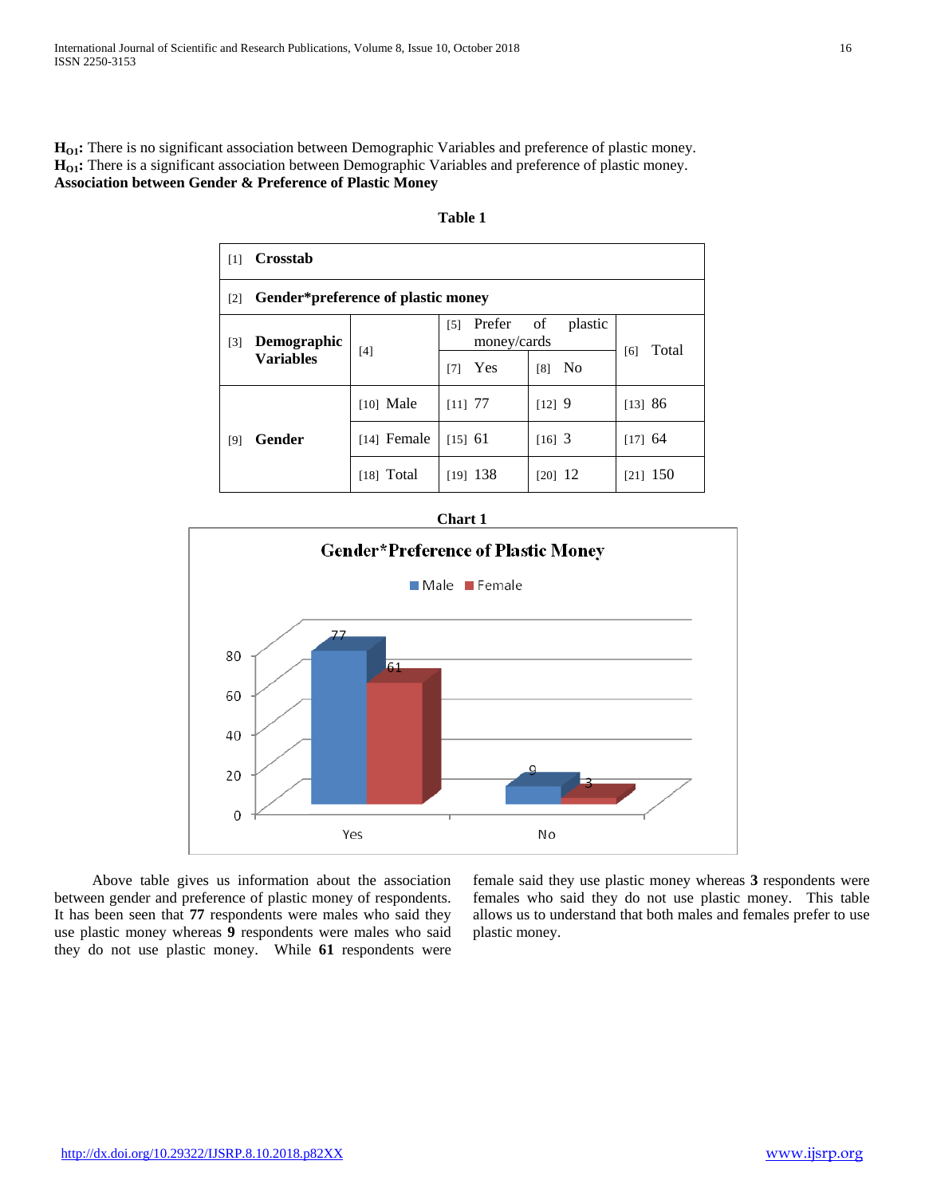H<sub>O1</sub>: There is no significant association between Demographic Variables and preference of plastic money. H<sub>O1</sub>: There is a significant association between Demographic Variables and preference of plastic money. **Association between Gender & Preference of Plastic Money**

| $\lceil 1 \rceil$                | Crosstab                           |               |                                            |               |              |
|----------------------------------|------------------------------------|---------------|--------------------------------------------|---------------|--------------|
| $\lceil 2 \rceil$                | Gender*preference of plastic money |               |                                            |               |              |
| Demographic<br>$\lceil 3 \rceil$ |                                    | [4]           | Prefer<br>$\lceil 5 \rceil$<br>money/cards | of<br>plastic | Total<br>[6] |
| <b>Variables</b>                 | Yes<br>[7]                         |               | N <sub>0</sub><br>[8]                      |               |              |
|                                  |                                    | $[10]$ Male   | $[11]$ 77                                  | $[12]$ 9      | [13] 86      |
| [9]                              | <b>Gender</b>                      | $[14]$ Female | $[15]$ 61                                  | $[16]$ 3      | $[17]$ 64    |
|                                  | $[18]$ Total                       | $[19]$ 138    | $[20]$ 12                                  | $[21]$ 150    |              |

#### **Table 1**

## **Chart 1**



 Above table gives us information about the association between gender and preference of plastic money of respondents. It has been seen that **77** respondents were males who said they use plastic money whereas **9** respondents were males who said they do not use plastic money. While **61** respondents were female said they use plastic money whereas **3** respondents were females who said they do not use plastic money. This table allows us to understand that both males and females prefer to use plastic money.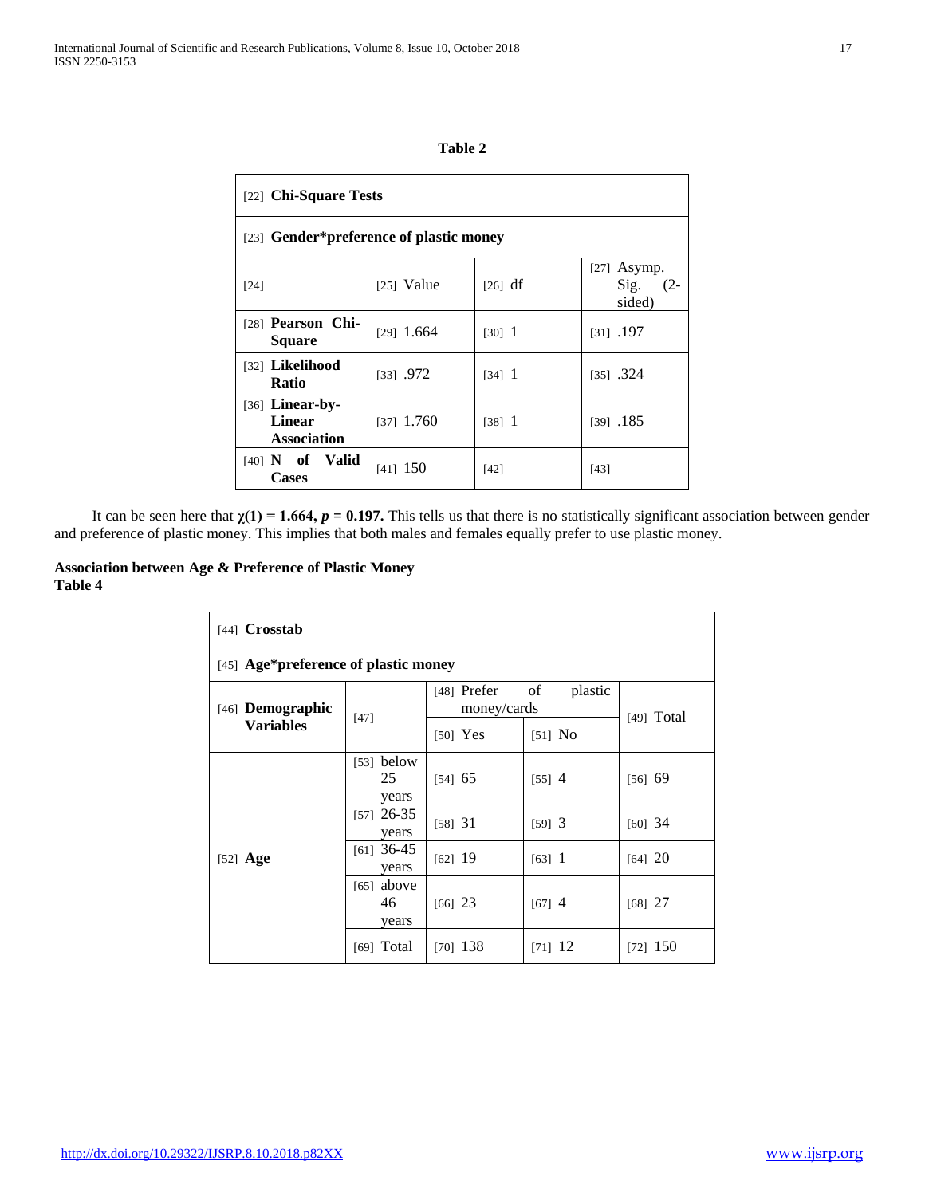| п<br>× |  |
|--------|--|
|--------|--|

| [22] Chi-Square Tests                                    |              |                       |                                           |  |
|----------------------------------------------------------|--------------|-----------------------|-------------------------------------------|--|
| [23] Gender*preference of plastic money                  |              |                       |                                           |  |
| $[24]$                                                   | $[25]$ Value | $\lceil 26 \rceil$ df | $[27]$ Asymp.<br>Sig.<br>$(2 -$<br>sided) |  |
| [28] Pearson Chi-<br><b>Square</b>                       | $[29]$ 1.664 | $[30]$ 1              | $[31]$ .197                               |  |
| [32] Likelihood<br>Ratio                                 | $[33]$ .972  | $[34]$ 1              | $[35]$ .324                               |  |
| $[36]$ Linear-by-<br><b>Linear</b><br><b>Association</b> | $[37]$ 1.760 | $[38]$ 1              | 185                                       |  |
| $[40]$ N of Valid<br><b>Cases</b>                        | $[41]$ 150   | $[42]$                | [43]                                      |  |

It can be seen here that  $\chi(1) = 1.664$ ,  $p = 0.197$ . This tells us that there is no statistically significant association between gender and preference of plastic money. This implies that both males and females equally prefer to use plastic money.

## **Association between Age & Preference of Plastic Money Table 4**

| $[44]$ Crosstab                      |                             |               |                              |              |  |
|--------------------------------------|-----------------------------|---------------|------------------------------|--------------|--|
| [45] Age*preference of plastic money |                             |               |                              |              |  |
| [46] <b>Demographic</b>              | $[47]$                      | $[48]$ Prefer | of<br>plastic<br>money/cards |              |  |
| <b>Variables</b>                     |                             | $[50]$ Yes    | $[51]$ No                    | $[49]$ Total |  |
| [52] $Age$                           | $[53]$ below<br>25<br>years | [54] 65       | $[55]$ 4                     | [56] 69      |  |
|                                      | $[57]$ 26-35<br>years       | [58] 31       | $[59]$ 3                     | $[60]$ 34    |  |
|                                      | $[61]$ 36-45<br>years       | $[62]$ 19     | $[63]$ 1                     | [64] 20      |  |
|                                      | $[65]$ above<br>46<br>years | $[66]$ 23     | $[67]$ 4                     | $[68]$ 27    |  |
|                                      | $[69]$ Total                | $[70]$ 138    | $[71]$ 12                    | $[72]$ 150   |  |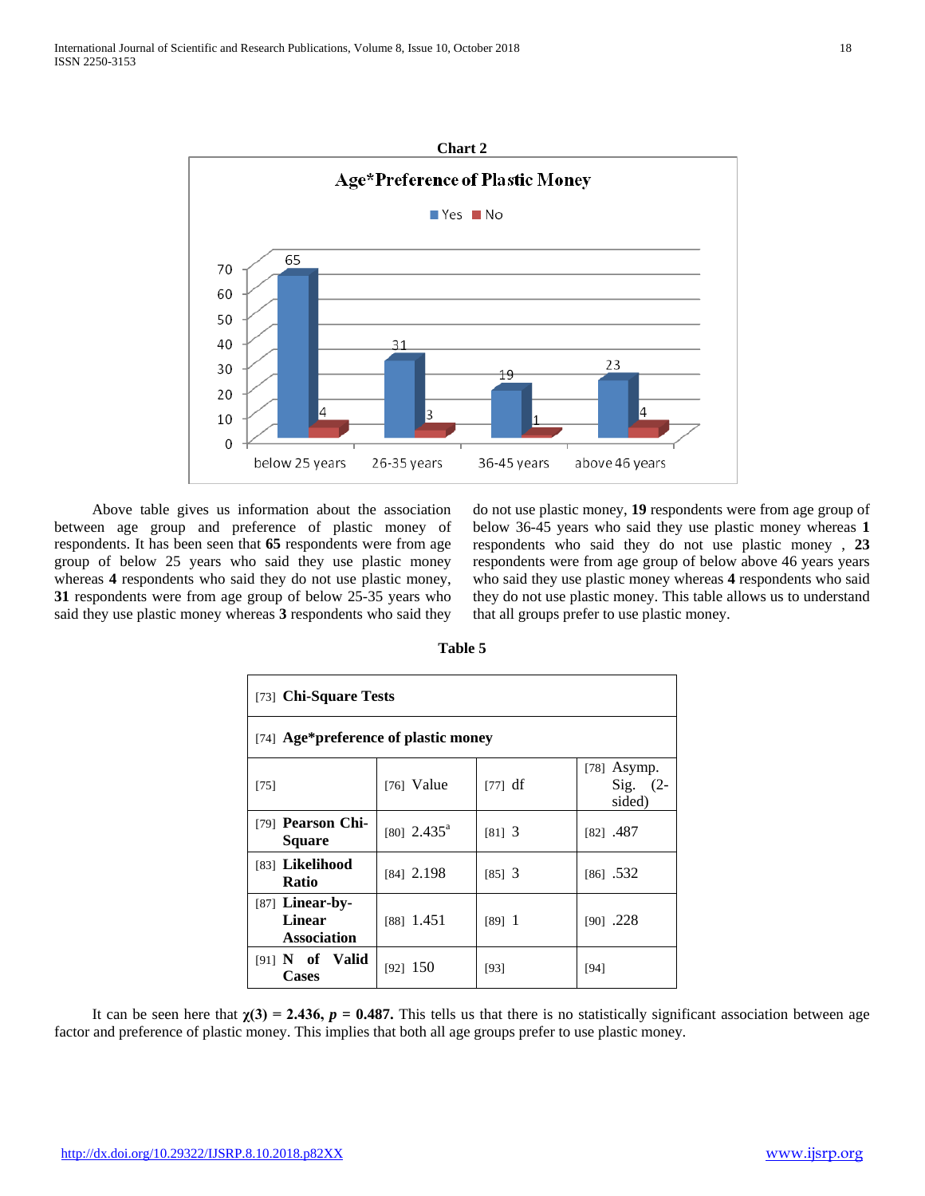

 Above table gives us information about the association between age group and preference of plastic money of respondents. It has been seen that **65** respondents were from age group of below 25 years who said they use plastic money whereas **4** respondents who said they do not use plastic money, **31** respondents were from age group of below 25-35 years who said they use plastic money whereas **3** respondents who said they

do not use plastic money, **19** respondents were from age group of below 36-45 years who said they use plastic money whereas **1** respondents who said they do not use plastic money , **23** respondents were from age group of below above 46 years years who said they use plastic money whereas **4** respondents who said they do not use plastic money. This table allows us to understand that all groups prefer to use plastic money.

| [73] Chi-Square Tests                                    |                           |          |                                       |  |
|----------------------------------------------------------|---------------------------|----------|---------------------------------------|--|
| [74] Age*preference of plastic money                     |                           |          |                                       |  |
| $[75]$                                                   | $[76]$ Value              | [77] df  | $[78]$ Asymp.<br>Sig. $(2-$<br>sided) |  |
| [79] <b>Pearson Chi-</b><br><b>Square</b>                | $[80]$ 2.435 <sup>a</sup> | $[81]$ 3 | $[82]$ .487                           |  |
| [83] Likelihood<br>Ratio                                 | [84] 2.198                | $[85]$ 3 | $[86]$ .532                           |  |
| $[87]$ Linear-by-<br><b>Linear</b><br><b>Association</b> | $[88]$ 1.451              | [89] 1   | $[90]$ .228                           |  |
| $[91]$ N of Valid<br>Cases                               | [92] 150                  | [93]     | [94]                                  |  |

**Table 5**

It can be seen here that  $\chi(3) = 2.436$ ,  $p = 0.487$ . This tells us that there is no statistically significant association between age factor and preference of plastic money. This implies that both all age groups prefer to use plastic money.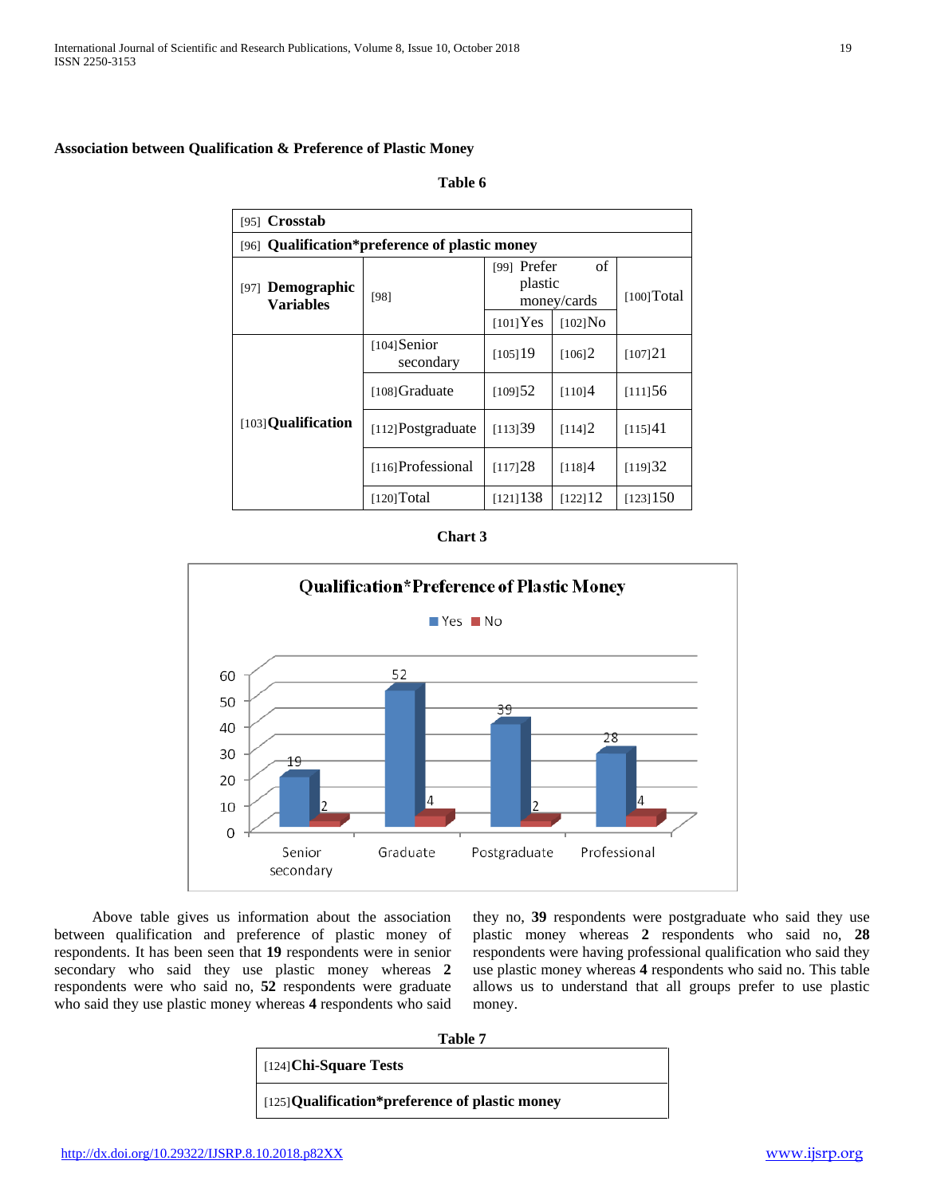## **Association between Qualification & Preference of Plastic Money**

#### **Table 6**

| [95] $Crosstab$                                |                             |                                             |                       |             |  |
|------------------------------------------------|-----------------------------|---------------------------------------------|-----------------------|-------------|--|
| [96] Qualification*preference of plastic money |                             |                                             |                       |             |  |
| Demographic<br>[97]<br><b>Variables</b>        | [98]                        | οf<br>[99] Prefer<br>plastic<br>money/cards |                       | [100] Total |  |
|                                                |                             | $[101]$ Yes                                 | $[102]$ No            |             |  |
| [103] Qualification                            | $[104]$ Senior<br>secondary | [105]19                                     | [106]2                | [107]21     |  |
|                                                | [108] Graduate              | [109]52                                     | [110]4                | [111]56     |  |
|                                                | $[112]$ Postgraduate        | [113]39                                     | [114]2                | [115]41     |  |
|                                                | [116] Professional          | [117]28                                     | [118]4                | [119]32     |  |
|                                                | [120] Total                 | $[121]$ 138                                 | $[122]$ <sup>12</sup> | [123]150    |  |





 Above table gives us information about the association between qualification and preference of plastic money of respondents. It has been seen that **19** respondents were in senior secondary who said they use plastic money whereas **2** respondents were who said no, **52** respondents were graduate who said they use plastic money whereas **4** respondents who said they no, **39** respondents were postgraduate who said they use plastic money whereas **2** respondents who said no, **28** respondents were having professional qualification who said they use plastic money whereas **4** respondents who said no. This table allows us to understand that all groups prefer to use plastic money.

|--|--|

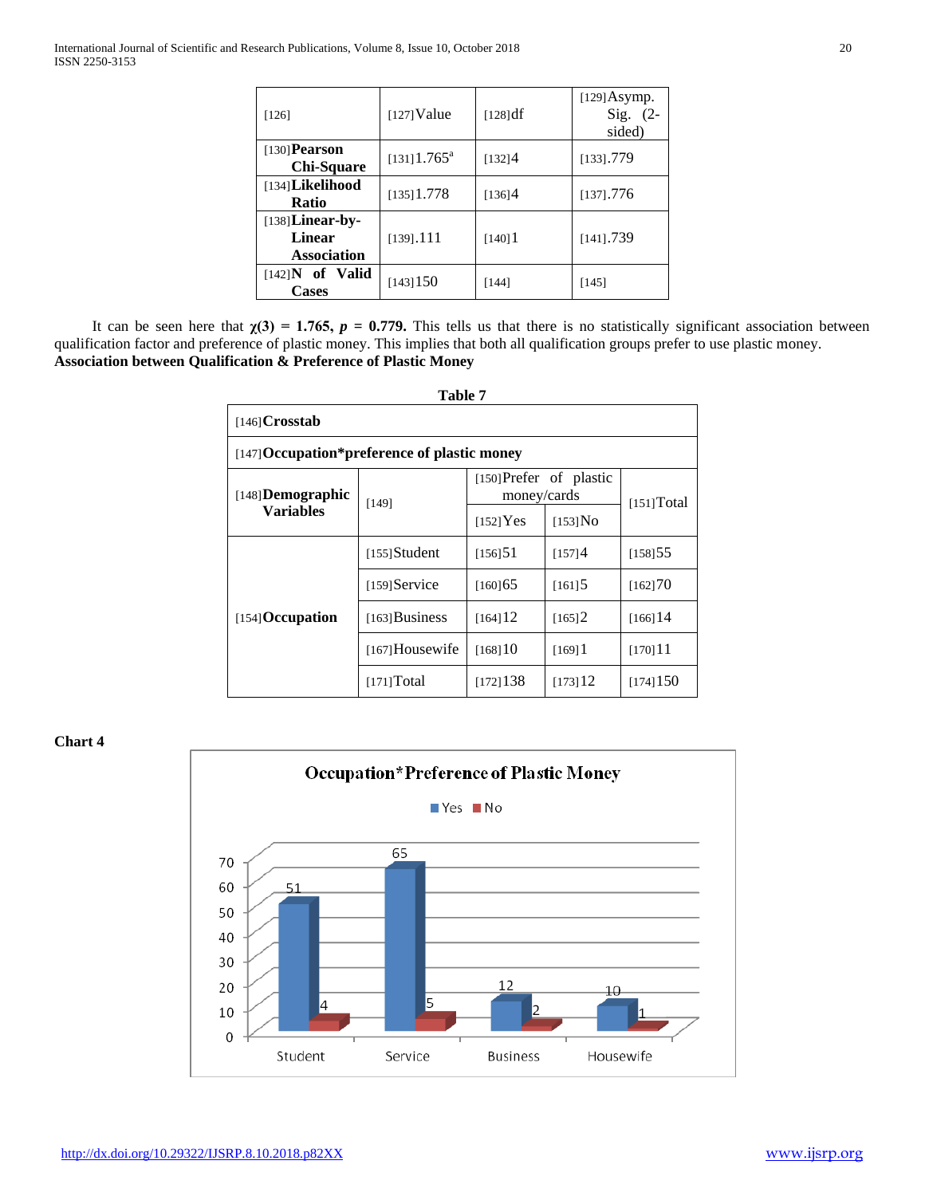| [126]                                              | $[127]$ Value              | [128] df | $[129]$ Asymp.<br>Sig. $(2-$<br>sided) |
|----------------------------------------------------|----------------------------|----------|----------------------------------------|
| $[130]$ Pearson<br>Chi-Square                      | $[131]$ 1.765 <sup>a</sup> | [132]4   | $[133]$ .779                           |
| $[134]$ Likelihood<br>Ratio                        | $[135]$ 1.778              | [136]4   | $[137]$ .776                           |
| $[138]$ Linear-by-<br>Linear<br><b>Association</b> | $[139]$ .111               | [140]    | $[141]$ .739                           |
| $[142]$ N of Valid<br><b>Cases</b>                 | [143]150                   | [144]    | [145]                                  |

It can be seen here that  $\chi(3) = 1.765$ ,  $p = 0.779$ . This tells us that there is no statistically significant association between qualification factor and preference of plastic money. This implies that both all qualification groups prefer to use plastic money. **Association between Qualification & Preference of Plastic Money**

|                                              | Table 7          |                                        |                      |                       |  |
|----------------------------------------------|------------------|----------------------------------------|----------------------|-----------------------|--|
| $[146]$ Crosstab                             |                  |                                        |                      |                       |  |
| [147] Occupation*preference of plastic money |                  |                                        |                      |                       |  |
| $[148]$ Demographic                          | [149]            | [150] Prefer of plastic<br>money/cards |                      | [151] Total           |  |
| Variables                                    |                  | $[152]$ Yes                            | $[153]$ No           |                       |  |
| $[154]$ Occupation                           | $[155]$ Student  | [156]51                                | [157]4               | [158]55               |  |
|                                              | $[159]$ Service  | [160]65                                | $[161]$ <sup>5</sup> | [162]70               |  |
|                                              | $[163]$ Business | $[164]$ 12                             | $[165]$ <sup>2</sup> | $[166]$ <sup>14</sup> |  |
|                                              | [167] Housewife  | [168]10                                | [169]                | [170]11               |  |
|                                              | [171] Total      | [172]138                               | [173]12              | [174]150              |  |

**Chart 4**

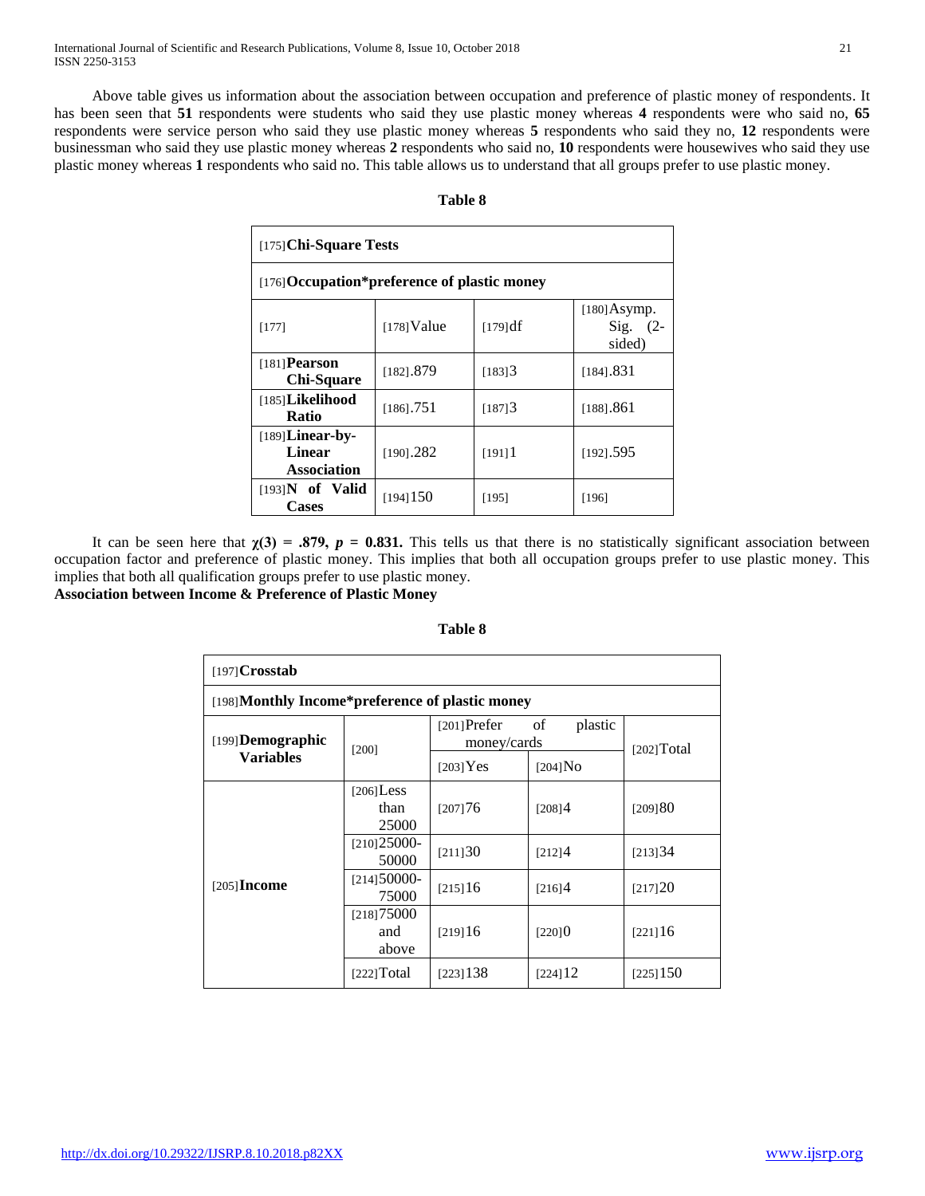Above table gives us information about the association between occupation and preference of plastic money of respondents. It has been seen that **51** respondents were students who said they use plastic money whereas **4** respondents were who said no, **65** respondents were service person who said they use plastic money whereas **5** respondents who said they no, **12** respondents were businessman who said they use plastic money whereas **2** respondents who said no, **10** respondents were housewives who said they use plastic money whereas **1** respondents who said no. This table allows us to understand that all groups prefer to use plastic money.

| able | œ |
|------|---|
|------|---|

| $[175]$ Chi-Square Tests                                  |               |                      |                                               |  |
|-----------------------------------------------------------|---------------|----------------------|-----------------------------------------------|--|
| [176] Occupation*preference of plastic money              |               |                      |                                               |  |
| [177]                                                     | $[178]$ Value | [179] df             | $[180]$ Asymp.<br>$\text{Sig.}$ (2-<br>sided) |  |
| $[181]$ Pearson<br>Chi-Square                             | [182] . 879   | $[183]$ <sup>3</sup> | [184].831                                     |  |
| [185] <b>Likelihood</b><br>Ratio                          | $[186]$ .751  | $[187]$ <sup>3</sup> | [188].861                                     |  |
| $[189]$ Linear-by-<br><b>Linear</b><br><b>Association</b> | $[190]$ .282  | [191]                | [192] . 595                                   |  |
| $[193]$ N of Valid<br><b>Cases</b>                        | $[194]$ 150   | [195]                | [196]                                         |  |

It can be seen here that  $\chi(3) = .879$ ,  $p = 0.831$ . This tells us that there is no statistically significant association between occupation factor and preference of plastic money. This implies that both all occupation groups prefer to use plastic money. This implies that both all qualification groups prefer to use plastic money. **Association between Income & Preference of Plastic Money**

| $[197]$ Crosstab                                 |                               |                                                |            |             |  |  |  |
|--------------------------------------------------|-------------------------------|------------------------------------------------|------------|-------------|--|--|--|
| [198] Monthly Income*preference of plastic money |                               |                                                |            |             |  |  |  |
| [199] <b>Demographic</b><br><b>Variables</b>     | [200]                         | $[201]$ Prefer<br>plastic<br>of<br>money/cards |            | [202] Total |  |  |  |
|                                                  |                               | $[203]$ Yes                                    | $[204]$ No |             |  |  |  |
| $[205]$ Income                                   | $[206]$ Less<br>than<br>25000 | [207]76                                        | [208]4     | [209]80     |  |  |  |
|                                                  | $[210]25000-$<br>50000        | [211]30                                        | [212]4     | [213]34     |  |  |  |
|                                                  | $[214]50000-$<br>75000        | [215]16                                        | [216]4     | [217]20     |  |  |  |
|                                                  | [218]75000<br>and<br>above    | [219]16                                        | [220]0     | [221]16     |  |  |  |
|                                                  | [222] Total                   | [223]138                                       | [224]12    | [225]150    |  |  |  |

**Table 8**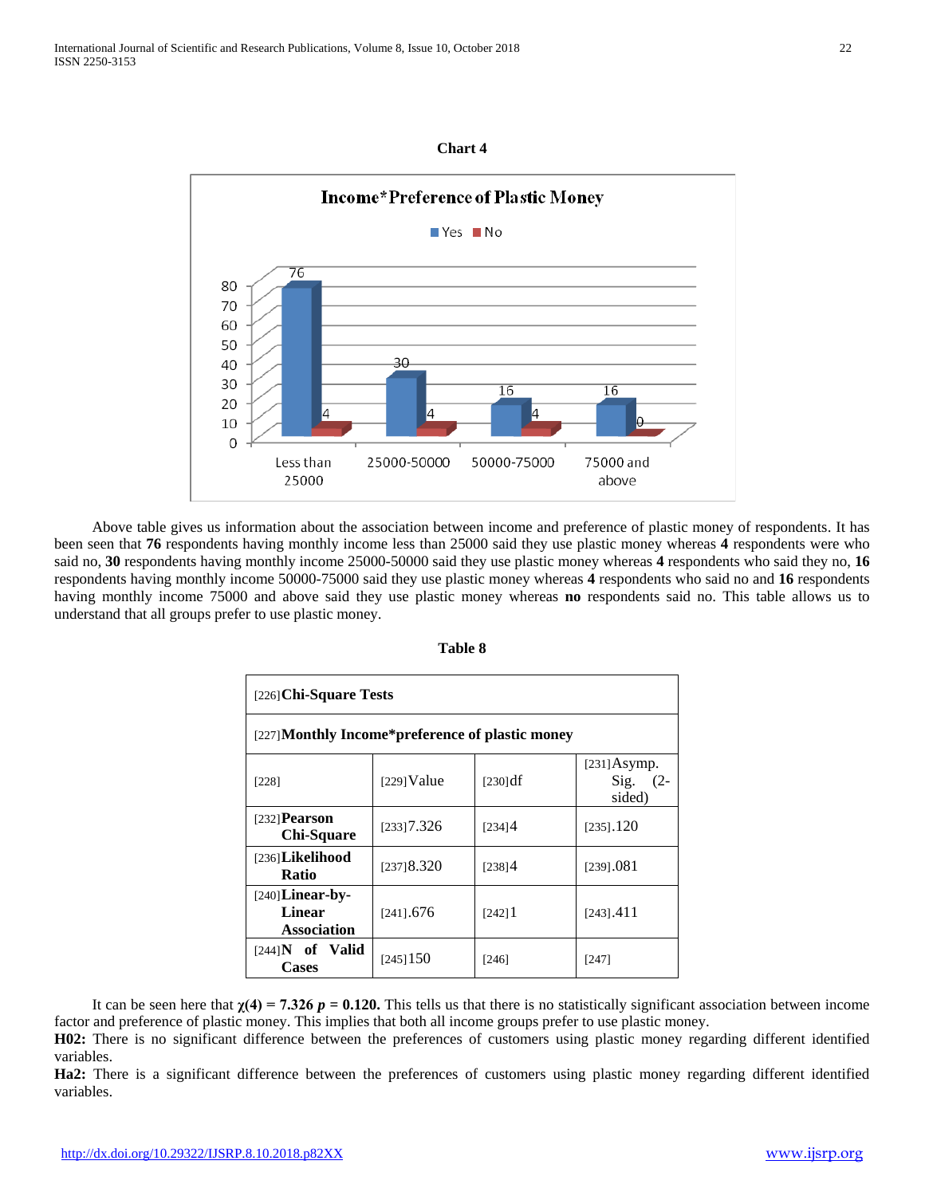## **Chart 4**



 Above table gives us information about the association between income and preference of plastic money of respondents. It has been seen that **76** respondents having monthly income less than 25000 said they use plastic money whereas **4** respondents were who said no, **30** respondents having monthly income 25000-50000 said they use plastic money whereas **4** respondents who said they no, **16** respondents having monthly income 50000-75000 said they use plastic money whereas **4** respondents who said no and **16** respondents having monthly income 75000 and above said they use plastic money whereas **no** respondents said no. This table allows us to understand that all groups prefer to use plastic money.

| $[226]$ Chi-Square Tests                           |               |          |                                        |  |
|----------------------------------------------------|---------------|----------|----------------------------------------|--|
| [227] Monthly Income*preference of plastic money   |               |          |                                        |  |
| [228]                                              | $[229]$ Value | [230] df | $[231]$ Asymp.<br>Sig. $(2-$<br>sided) |  |
| $[232]$ Pearson<br><b>Chi-Square</b>               | [233]7.326    | [234]4   | $[235]$ .120                           |  |
| [236]Likelihood<br><b>Ratio</b>                    | [237]8.320    | [238]4   | [239] . 081                            |  |
| $[240]$ Linear-by-<br>Linear<br><b>Association</b> | $[241]$ .676  | [242]    | $[243]$ .411                           |  |
| $[244]$ N of Valid<br>Cases                        | [245]150      | [246]    | [247]                                  |  |

It can be seen here that  $\chi(4) = 7.326$   $p = 0.120$ . This tells us that there is no statistically significant association between income factor and preference of plastic money. This implies that both all income groups prefer to use plastic money.

**H02:** There is no significant difference between the preferences of customers using plastic money regarding different identified variables.

**Ha2:** There is a significant difference between the preferences of customers using plastic money regarding different identified variables.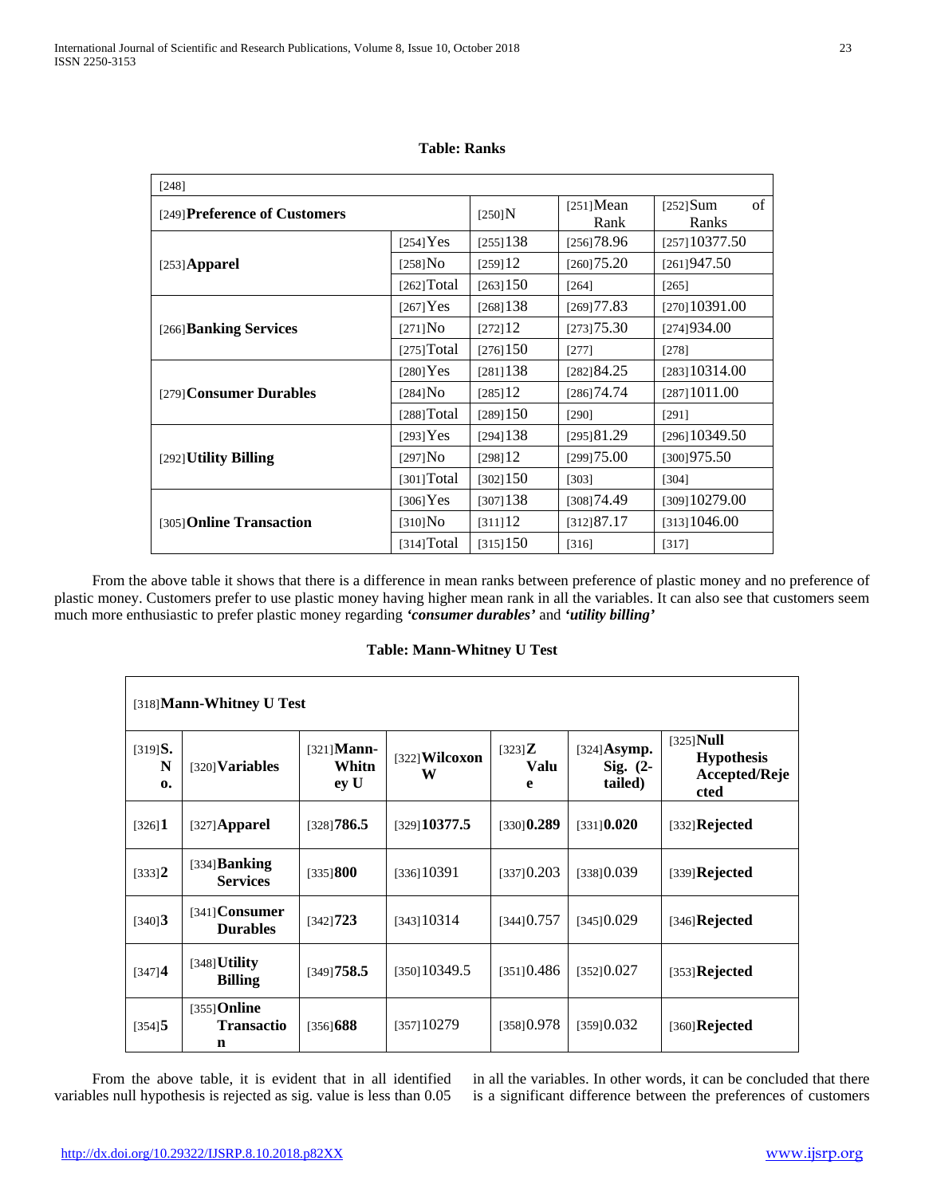| [248]                         |             |             |                      |                            |
|-------------------------------|-------------|-------------|----------------------|----------------------------|
| [249] Preference of Customers |             | $[250]$ N   | $[251]$ Mean<br>Rank | of<br>$[252]$ Sum<br>Ranks |
|                               | [254] Yes   | [255]138    | [256]78.96           | [257]10377.50              |
| $[253]$ Apparel               | $[258]$ No  | [259]12     | [260]75.20           | [261]947.50                |
|                               | [262] Total | [263]150    | [264]                | $[265]$                    |
|                               | $[267]$ Yes | [268]138    | [269]77.83           | [270] 10391.00             |
| [266] Banking Services        | [271] No    | [272]12     | [273]75.30           | [274]934.00                |
|                               | [275] Total | $[276]$ 150 | $[277]$              | $[278]$                    |
|                               | $[280]$ Yes | [281] 138   | [282]84.25           | [283] 10314.00             |
| [279] Consumer Durables       | $[284]$ No  | [285]12     | [286]74.74           | [287] 1011.00              |
|                               | [288] Total | [289]150    | [290]                | [291]                      |
|                               | $[293]$ Yes | [294] 138   | [295]81.29           | [296] 10349.50             |
| [292] Utility Billing         | $[297]$ No  | [298]12     | [299]75.00           | [300]975.50                |
|                               | [301] Total | [302]150    | [303]                | [304]                      |
|                               | $[306]$ Yes | [307]138    | [308]74.49           | [309]10279.00              |
| [305] Online Transaction      | $[310]$ No  | [311]12     | [312]87.17           | [313]1046.00               |
|                               | [314] Total | [315]150    | $[316]$              | $[317]$                    |

**Table: Ranks**

 From the above table it shows that there is a difference in mean ranks between preference of plastic money and no preference of plastic money. Customers prefer to use plastic money having higher mean rank in all the variables. It can also see that customers seem much more enthusiastic to prefer plastic money regarding *'consumer durables'* and *'utility billing'*

## **Table: Mann-Whitney U Test**

| [318] Mann-Whitney U Test              |                                          |                                |                     |                               |                                         |                                                            |
|----------------------------------------|------------------------------------------|--------------------------------|---------------------|-------------------------------|-----------------------------------------|------------------------------------------------------------|
| $[319]$ <b>S.</b><br>N<br>$\mathbf{0}$ | $[320]$ Variables                        | $[321]$ Mann-<br>Whitn<br>ey U | [322] Wilcoxon<br>W | $[323]$ <b>Z</b><br>Valu<br>e | $[324]$ Asymp.<br>Sig. $(2-$<br>tailed) | $[325]$ Null<br><b>Hypothesis</b><br>Accepted/Reje<br>cted |
| $[326]$ <b>1</b>                       | $[327]$ Apparel                          | [328]786.5                     | [329]10377.5        | $[330]$ <b>0.289</b>          | $[331]$ <b>0.020</b>                    | $[332]$ Rejected                                           |
| [333]2                                 | $[334]$ Banking<br><b>Services</b>       | [335] 800                      | [336]10391          | [337]0.203                    | [338]0.039                              | $[339]$ Rejected                                           |
| $[340]$ <b>3</b>                       | $[341]$ Consumer<br><b>Durables</b>      | [342]723                       | [343] 10314         | [344]0.757                    | [345]0.029                              | $[346]$ Rejected                                           |
| [347]4                                 | $[348]$ Utility<br><b>Billing</b>        | [349]758.5                     | [350]10349.5        | [351]0.486                    | [352]0.027                              | $[353]$ Rejected                                           |
| $[354]$ <b>5</b>                       | $[355]$ Online<br><b>Transactio</b><br>n | [356] 688                      | [357] 10279         | [358]0.978                    | [359]0.032                              | $[360]$ Rejected                                           |

 From the above table, it is evident that in all identified variables null hypothesis is rejected as sig. value is less than 0.05 in all the variables. In other words, it can be concluded that there is a significant difference between the preferences of customers